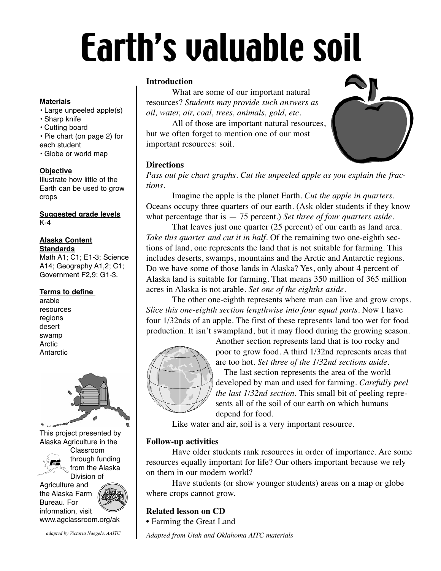# Earth's valuable soil

#### **Materials**

- Large unpeeled apple(s)
- Sharp knife
- Cutting board

• Pie chart (on page 2) for each student

• Globe or world map

#### **Objective**

Illustrate how little of the Earth can be used to grow crops

**Suggested grade levels** K-4

#### **Alaska Content Standards**

Math A1; C1; E1-3; Science A14; Geography A1,2; C1; Government F2,9; G1-3.

#### **Terms to define**

arable resources regions desert swamp Arctic **Antarctic** 



Agriculture and the Alaska Farm Bureau. For information, visit



*adapted by Victoria Naegele, AAITC*

#### **Introduction**

What are some of our important natural resources? *Students may provide such answers as oil, water, air, coal, trees, animals, gold, etc.*

All of those are important natural resources, but we often forget to mention one of our most important resources: soil.

## **Directions**

*Pass out pie chart graphs. Cut the unpeeled apple as you explain the fractions.*

Imagine the apple is the planet Earth. *Cut the apple in quarters.* Oceans occupy three quarters of our earth. (Ask older students if they know what percentage that is — 75 percent.) *Set three of four quarters aside.*

That leaves just one quarter (25 percent) of our earth as land area. *Take this quarter and cut it in half.* Of the remaining two one-eighth sections of land, one represents the land that is not suitable for farming. This includes deserts, swamps, mountains and the Arctic and Antarctic regions. Do we have some of those lands in Alaska? Yes, only about 4 percent of Alaska land is suitable for farming. That means 350 million of 365 million acres in Alaska is not arable. *Set one of the eighths aside*.

The other one-eighth represents where man can live and grow crops. *Slice this one-eighth section lengthwise into four equal parts.* Now I have four 1/32nds of an apple. The first of these represents land too wet for food production. It isn't swampland, but it may flood during the growing season.



Another section represents land that is too rocky and poor to grow food. A third 1/32nd represents areas that are too hot. *Set three of the 1/32nd sections aside.* The last section represents the area of the world developed by man and used for farming. *Carefully peel the last 1/32nd section.* This small bit of peeling repre-

sents all of the soil of our earth on which humans depend for food.

Like water and air, soil is a very important resource.

### **Follow-up activities**

Have older students rank resources in order of importance. Are some resources equally important for life? Our others important because we rely on them in our modern world?

Have students (or show younger students) areas on a map or globe where crops cannot grow.

# **Related lesson on CD**

• Farming the Great Land

*Adapted from Utah and Oklahoma AITC materials*